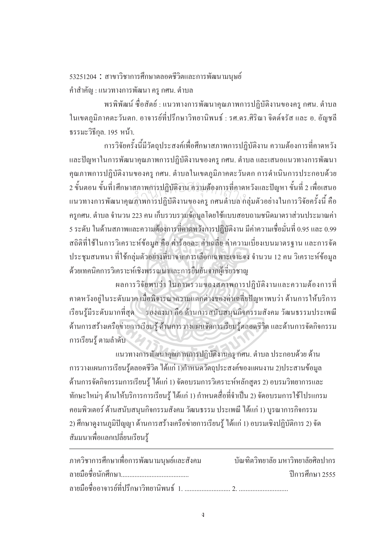53251204 : สาขาวิชาการศึกษาตลอคชีวิตและการพัฒนามนุษย์ คำสำคัญ : แนวทางการพัฒนา ครู กศน. ตำบล

ำพรพิพัฒน์ ซื่อสัตย์ : แนวทางการพัฒนาคุณภาพการปฏิบัติงานของครู กศน. ตำบล ในเขตภูมิภาคตะวันตก. อาจารย์ที่ปรึกษาวิทยานิพนธ์ : รศ.คร.ศิริณา จิตต์จรัส และ อ. อัญชลี ธรรมะวิธีกล. 195 หน้า.

การวิจัยครั้งนี้มีวัตถุประสงค์เพื่อศึกษาสภาพการปฏิบัติงาน ความต้องการที่คาดหวัง ´Ê และปัญหาในการพัฒนาคณภาพการปฏิบัติงานของคร กศน. ตำบล และเสนอแนวทางการพัฒนา ึ คุณภาพการปฏิบัติงานของครู กศน. ตำบลในเขตภูมิภาคตะวันตก การคำเนินการประกอบด้วย 2 ขั้นตอน ขั้นที่1ศึกษาสภาพการปฏิบัติงาน ความต้องการที่กาดหวังและปัญหา ขั้นที่ 2 เพื่อเสนอ ¸É l<br> 2 ขั้นตอน ขั้นที่1ศึกษาสภาพการปฏิบัติงาน ความต้องการที่คาดหวังและปัญหา ขั้นที่ 2 เพื่อเสนอ<br>แนวทางการพัฒนาคุณภาพการปฏิบัติงานของครู กศนตำบล กลุ่มตัวอย่างในการวิจัยครั้งนี้ คือ ´Ê ้ ครูกศน. ตำบล จำนวน 223 คน เก็บรวบรวมข้อมูล โดยใช้แบบสอบถามชนิดมาตราส่วนประมาณค่า 5 ระดับ ในด้านสภาพและความต้องการที่คาดหวังการปฏิบัติงาน มีค่าความเชื่อมั่นที่ 0.95 และ 0.99 ¸É ºÉ ` สถิติที่ใช้ในการวิเคราะห์ข้อมูล คือ ค่าร้อยละ ค่าเฉลี่ย ค่าความเบี่ยงเบนมาตรฐาน และการจัด ประชุมสนทนา ที่ใช้กลุ่มตัวอย่างที่มาจากการเลือกเฉพาะเจาะจง จำนวน 12 คน วิเคราะห์ข้อมูล ¸É ด้วยเทคนิคการวิเคราะห์เชิงพรรณนาและการยืนยันจากผู้เชี่ยวชาญ │<br>│

้ผลการวิจัยพบว่า ในภาพรวมของสภาพการปฏิบัติงานและความต้องการที่ คาคหวังอยู่ในระดับมาก เมื่อพิจารณาความแตกต่างของค่าเฉลี่ยปัญหาพบว่า ด้านการให้บริการ ºÉ เรียนรู้มีระดับมากที่สุด รองลงมา คือ ด้านการสนับสนุนกิจกรรมสังคม วัฒนธรรมประเพณี ด้านการสร้างเครือข่ายการเรียนรู้ ด้านการวางแผนจัดการเรียนรู้ตลอดชีวิต และด้านการจัดกิจกรรม การเรียนรู้ ตามลำดับ

แนวทางการพัฒนาคุณภาพการปฏิบัติงานครู กศน. ตำบล ประกอบด้วย ด้าน การวางแผนการเรียนรู้ตลอดชีวิต ได้แก่ 1)กำหนดวัตถุประสงค์ของแผนงาน 2)ประสานข้อมูล ด้านการจัดกิจกรรมการเรียนรู้ ใด้แก่ 1) จัดอบรมการวิเคราะห์หลักสูตร 2) อบรมวิทยาการและ ทักษะใหม่ๆ ด้านให้บริการการเรียนรู้ ได้แก่ 1) กำหนดสื่อที่จำเป็น 2) จัดอบรมการใช้โปรแกรม ึ คอมพิวเตอร์ ด้านสนับสนุนกิจกรรมสังคม วัฒนธรรม ประเพณี ได้แก่ 1) บูรณาการกิจกรรม <u>2) ศึกษาดูงานภูมิปัญญา ด้านการสร้างเครือข่ายการเรียนรู้ ได้แก่ 1) อบรมเชิงปฏิบัติการ 2) จัด</u> สัมมนาเพื่อแลกเปลี่ยนเรียนรู้

| ภาควิชาการศึกษาเพื่อการพัฒนามนุษย์และสังคม บัณฑิตวิทยาลัย มหาวิทยาลัยศิลปากร |                 |
|------------------------------------------------------------------------------|-----------------|
|                                                                              | ปีการศึกษา 2555 |
|                                                                              |                 |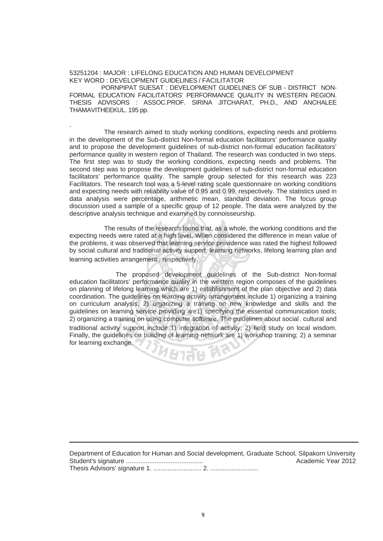## 53251204 : MAJOR : LIFELONG EDUCATION AND HUMAN DEVELOPMENT KEY WORD : DEVELOPMENT GUIDELINES / FACILITATOR

.

 PORNPIPAT SUESAT : DEVELOPMENT GUIDELINES OF SUB - DISTRICT NON-FORMAL EDUCATION FACILITATORS' PERFORMANCE QUALITY IN WESTERN REGION. THESIS ADVISORS : ASSOC.PROF. SIRINA JITCHARAT, PH.D., AND ANCHALEE THAMAVITHEEKUL. 195 pp.

The research aimed to study working conditions, expecting needs and problems in the development of the Sub-district Non-formal education facilitators' performance quality and to propose the development guidelines of sub-district non-formal education facilitators' performance quality in western region of Thailand. The research was conducted in two steps. The first step was to study the working conditions, expecting needs and problems. The second step was to propose the development guidelines of sub-district non-formal education facilitators' performance quality. The sample group selected for this research was 223 Facilitators. The research tool was a 5-level rating scale questionnaire on working conditions and expecting needs with reliability value of 0.95 and 0.99, respectively. The statistics used in data analysis were percentage, arithmetic mean, standard deviation. The focus group discussion used a sample of a specific group of 12 people. The data were analyzed by the descriptive analysis technique and examined by connoisseurship. arch tool was a 5-level rating scale ques<br>with reliability value of 0.95 and 0.99, res<br>percentage, arithmetic mean, standar<br>mple of a specific group of 12 people

The results of the research found that, as a whole, the working conditions and the expecting needs were rated at a high level. When considered the difference in mean value of the problems, it was observed that learning service providence was rated the highest followed by social, cultural and traditional activity support, learning networks, lifelong learning plan and learning activities arrangement , respectively.

 The proposed development guidelines of the Sub-district Non-formal education facilitators' performance quality in the western region composes of the guidelines on planning of lifelong learning which are 1) establishment of the plan objective and 2) data coordination. The guidelines on learning activity arrangement include 1) organizing a training on curriculum analysis; 2) organizing a training on new knowledge and skills and the guidelines on learning service providing are1) specifying the essential communication tools; 2) organizing a training on using computer software. The guidelines about social , cultural and traditional activity support include 1) integration of activity; 2) field study on local wisdom. Finally, the guidelines on building of learning network are 1) workshop training; 2) a seminar for learning exchange. **UBJRE F** 

Department of Education for Human and Social development, Graduate School, Silpakorn University Student's signature ........................................... Academic Year 2012 Thesis Advisors' signature 1. ........................... 2. ...........................